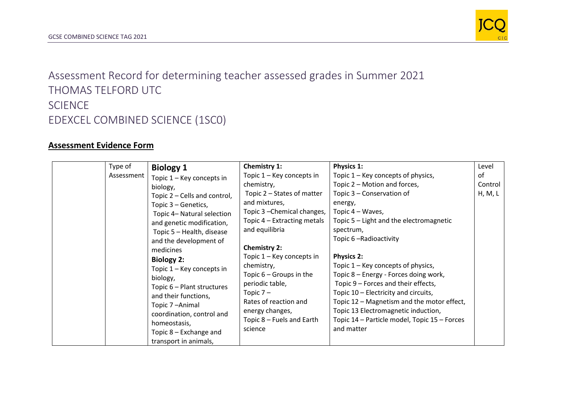

Assessment Record for determining teacher assessed grades in Summer 2021 THOMAS TELFORD UTC SCIENCE EDEXCEL COMBINED SCIENCE (1SC0)

## **Assessment Evidence Form**

| Type of    | <b>Biology 1</b>                                                                                                                                                                                                                                                                                                                                                                                                                                                  | Chemistry 1:                                                                                                                                                                                                                                                                                                                                                                               | <b>Physics 1:</b>                                                                                                                                                                                                                                                                                                                                                                                                                                                                                                                                     | Level                    |
|------------|-------------------------------------------------------------------------------------------------------------------------------------------------------------------------------------------------------------------------------------------------------------------------------------------------------------------------------------------------------------------------------------------------------------------------------------------------------------------|--------------------------------------------------------------------------------------------------------------------------------------------------------------------------------------------------------------------------------------------------------------------------------------------------------------------------------------------------------------------------------------------|-------------------------------------------------------------------------------------------------------------------------------------------------------------------------------------------------------------------------------------------------------------------------------------------------------------------------------------------------------------------------------------------------------------------------------------------------------------------------------------------------------------------------------------------------------|--------------------------|
| Assessment | Topic 1 - Key concepts in<br>biology,<br>Topic 2 – Cells and control,<br>Topic 3 – Genetics,<br>Topic 4- Natural selection<br>and genetic modification,<br>Topic 5 - Health, disease<br>and the development of<br>medicines<br><b>Biology 2:</b><br>Topic 1 - Key concepts in<br>biology,<br>Topic 6 – Plant structures<br>and their functions,<br>Topic 7-Animal<br>coordination, control and<br>homeostasis,<br>Topic 8 - Exchange and<br>transport in animals, | Topic 1 – Key concepts in<br>chemistry,<br>Topic 2 – States of matter<br>and mixtures,<br>Topic 3 - Chemical changes,<br>Topic 4 – Extracting metals<br>and equilibria<br><b>Chemistry 2:</b><br>Topic 1 – Key concepts in<br>chemistry,<br>Topic $6 -$ Groups in the<br>periodic table,<br>Topic $7-$<br>Rates of reaction and<br>energy changes,<br>Topic 8 – Fuels and Earth<br>science | Topic 1 – Key concepts of physics,<br>Topic 2 – Motion and forces,<br>Topic 3 - Conservation of<br>energy,<br>Topic 4 – Waves,<br>Topic 5 – Light and the electromagnetic<br>spectrum,<br>Topic 6-Radioactivity<br><b>Physics 2:</b><br>Topic 1 – Key concepts of physics,<br>Topic 8 - Energy - Forces doing work,<br>Topic 9 – Forces and their effects,<br>Topic 10 – Electricity and circuits,<br>Topic 12 – Magnetism and the motor effect,<br>Topic 13 Electromagnetic induction,<br>Topic 14 - Particle model, Topic 15 - Forces<br>and matter | οf<br>Control<br>H, M, L |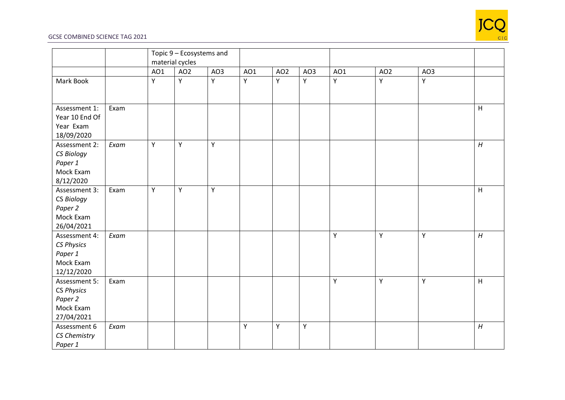

## GCSE COMBINED SCIENCE TAG 2021

|                                                                          |      | Topic 9 - Ecosystems and<br>material cycles |                 |     |     |                 |     |     |                 |     |   |
|--------------------------------------------------------------------------|------|---------------------------------------------|-----------------|-----|-----|-----------------|-----|-----|-----------------|-----|---|
|                                                                          |      | AO1                                         | AO <sub>2</sub> | AO3 | AO1 | AO <sub>2</sub> | AO3 | A01 | AO <sub>2</sub> | AO3 |   |
| Mark Book                                                                |      | Y                                           | Y               | Y   | Y   | Y               | Y   | Y   | Y               | Υ   |   |
| Assessment 1:<br>Year 10 End Of<br>Year Exam<br>18/09/2020               | Exam |                                             |                 |     |     |                 |     |     |                 |     | H |
| Assessment 2:<br>CS Biology<br>Paper 1<br>Mock Exam<br>8/12/2020         | Exam | Y                                           | Y               | Y   |     |                 |     |     |                 |     | H |
| Assessment 3:<br>CS Biology<br>Paper 2<br>Mock Exam<br>26/04/2021        | Exam | Y                                           | $\mathsf Y$     | Y   |     |                 |     |     |                 |     | H |
| Assessment 4:<br><b>CS Physics</b><br>Paper 1<br>Mock Exam<br>12/12/2020 | Exam |                                             |                 |     |     |                 |     | Υ   | Y               | Υ   | H |
| Assessment 5:<br><b>CS Physics</b><br>Paper 2<br>Mock Exam<br>27/04/2021 | Exam |                                             |                 |     |     |                 |     | Υ   | Υ               | Υ   | H |
| Assessment 6<br>CS Chemistry<br>Paper 1                                  | Exam |                                             |                 |     | Υ   | Y               | Y   |     |                 |     | H |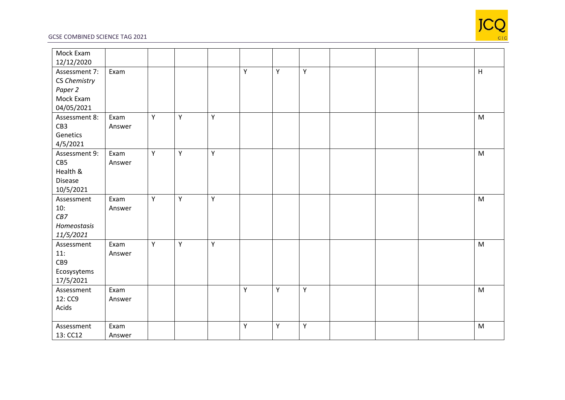

## GCSE COMBINED SCIENCE TAG 2021

| Mock Exam     |        |   |   |   |             |   |   |  |           |
|---------------|--------|---|---|---|-------------|---|---|--|-----------|
| 12/12/2020    |        |   |   |   |             |   |   |  |           |
| Assessment 7: | Exam   |   |   |   | Y           | Υ | Y |  | H         |
| CS Chemistry  |        |   |   |   |             |   |   |  |           |
| Paper 2       |        |   |   |   |             |   |   |  |           |
| Mock Exam     |        |   |   |   |             |   |   |  |           |
| 04/05/2021    |        |   |   |   |             |   |   |  |           |
| Assessment 8: | Exam   | Y | Υ | Y |             |   |   |  | M         |
| CB3           | Answer |   |   |   |             |   |   |  |           |
| Genetics      |        |   |   |   |             |   |   |  |           |
| 4/5/2021      |        |   |   |   |             |   |   |  |           |
| Assessment 9: | Exam   | Y | Y | Υ |             |   |   |  | ${\sf M}$ |
| CB5           | Answer |   |   |   |             |   |   |  |           |
| Health &      |        |   |   |   |             |   |   |  |           |
| Disease       |        |   |   |   |             |   |   |  |           |
| 10/5/2021     |        |   |   |   |             |   |   |  |           |
| Assessment    | Exam   | Y | Y | Υ |             |   |   |  | M         |
| 10:           | Answer |   |   |   |             |   |   |  |           |
| CB7           |        |   |   |   |             |   |   |  |           |
| Homeostasis   |        |   |   |   |             |   |   |  |           |
| 11/5/2021     |        |   |   |   |             |   |   |  |           |
| Assessment    | Exam   | Y | Υ | Υ |             |   |   |  | M         |
| 11:           | Answer |   |   |   |             |   |   |  |           |
| CB9           |        |   |   |   |             |   |   |  |           |
| Ecosysytems   |        |   |   |   |             |   |   |  |           |
| 17/5/2021     |        |   |   |   |             |   |   |  |           |
| Assessment    | Exam   |   |   |   | Υ           | Y | Y |  | M         |
| 12: CC9       | Answer |   |   |   |             |   |   |  |           |
| Acids         |        |   |   |   |             |   |   |  |           |
|               |        |   |   |   |             |   |   |  |           |
| Assessment    | Exam   |   |   |   | $\mathsf Y$ | Υ | Y |  | ${\sf M}$ |
| 13: CC12      | Answer |   |   |   |             |   |   |  |           |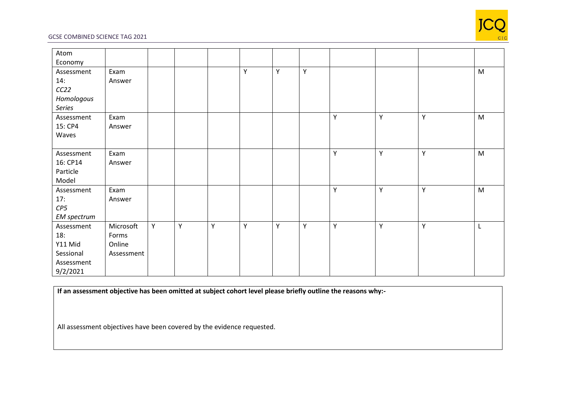

## GCSE COMBINED SCIENCE TAG 2021

| Atom        |            |   |   |   |   |   |             |   |   |   |   |
|-------------|------------|---|---|---|---|---|-------------|---|---|---|---|
| Economy     |            |   |   |   |   |   |             |   |   |   |   |
| Assessment  | Exam       |   |   |   | Y | Y | $\mathsf Y$ |   |   |   | M |
| 14:         | Answer     |   |   |   |   |   |             |   |   |   |   |
| CC22        |            |   |   |   |   |   |             |   |   |   |   |
| Homologous  |            |   |   |   |   |   |             |   |   |   |   |
| Series      |            |   |   |   |   |   |             |   |   |   |   |
| Assessment  | Exam       |   |   |   |   |   |             | Y | Y | Υ | M |
| 15: CP4     | Answer     |   |   |   |   |   |             |   |   |   |   |
| Waves       |            |   |   |   |   |   |             |   |   |   |   |
|             |            |   |   |   |   |   |             |   |   |   |   |
| Assessment  | Exam       |   |   |   |   |   |             | Y | Υ | Υ | M |
| 16: CP14    | Answer     |   |   |   |   |   |             |   |   |   |   |
| Particle    |            |   |   |   |   |   |             |   |   |   |   |
| Model       |            |   |   |   |   |   |             |   |   |   |   |
| Assessment  | Exam       |   |   |   |   |   |             | Y | Υ | Y | M |
| 17:         | Answer     |   |   |   |   |   |             |   |   |   |   |
| CP5         |            |   |   |   |   |   |             |   |   |   |   |
| EM spectrum |            |   |   |   |   |   |             |   |   |   |   |
| Assessment  | Microsoft  | Y | Y | Y | Y | Y | Y           | Y | Y | Y | L |
| 18:         | Forms      |   |   |   |   |   |             |   |   |   |   |
| Y11 Mid     | Online     |   |   |   |   |   |             |   |   |   |   |
| Sessional   | Assessment |   |   |   |   |   |             |   |   |   |   |
| Assessment  |            |   |   |   |   |   |             |   |   |   |   |
| 9/2/2021    |            |   |   |   |   |   |             |   |   |   |   |

**If an assessment objective has been omitted at subject cohort level please briefly outline the reasons why:-**

All assessment objectives have been covered by the evidence requested.